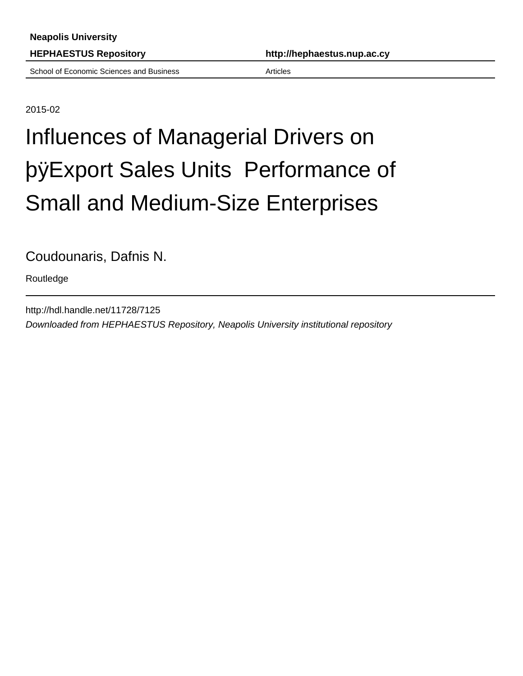School of Economic Sciences and Business **Access Articles** Articles

**HEPHAESTUS Repository http://hephaestus.nup.ac.cy**

2015-02

## Influences of Managerial Drivers on þÿExport Sales Units Performar Small and Medium-Size Enterprises

Coudounaris, Dafnis N.

Routledge

http://hdl.handle.net/11728/7125 Downloaded from HEPHAESTUS Repository, Neapolis University institutional repository